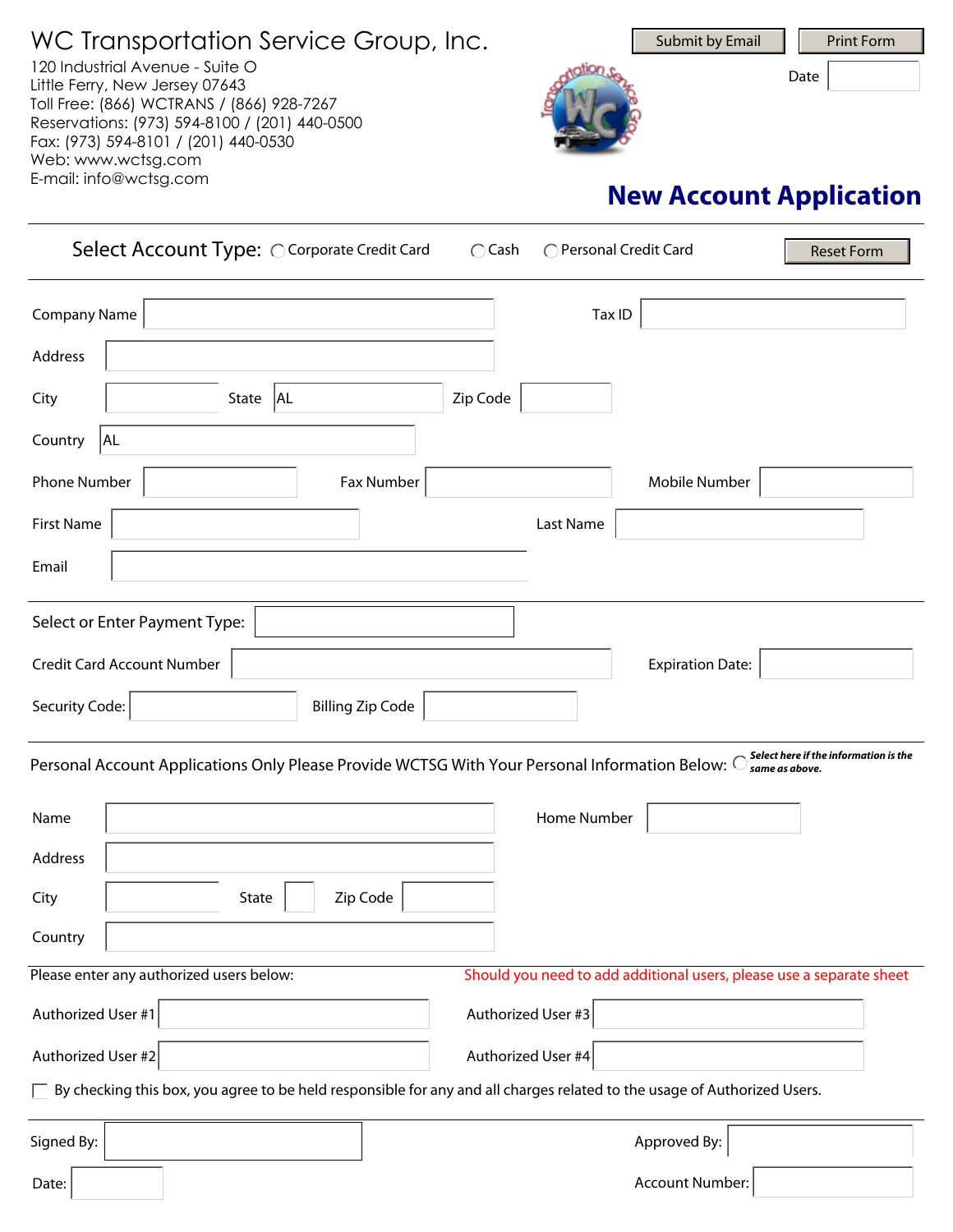WC Transportation Service Group, Inc. 120 Industrial Avenue - Suite O Little Ferry, New Jersey 07643 Toll Free: (866) WCTRANS / (866) 928-7267 Reservations: (973) 594-8100 / (201) 440-0500 Fax: (973) 594-8101 / (201) 440-0530 Web: www.wctsg.com E-mail: info@wctsg.com



Date

# **New Account Application**

| Select Account Type: O Corporate Credit Card                                                                                    | $\bigcap$ Cash<br>◯ Personal Credit Card<br><b>Reset Form</b>        |
|---------------------------------------------------------------------------------------------------------------------------------|----------------------------------------------------------------------|
| <b>Company Name</b>                                                                                                             | Tax ID                                                               |
| Address                                                                                                                         |                                                                      |
| State   AL<br>City                                                                                                              | Zip Code                                                             |
| AL<br>Country                                                                                                                   |                                                                      |
| Phone Number<br>Fax Number                                                                                                      | Mobile Number                                                        |
| <b>First Name</b>                                                                                                               | Last Name                                                            |
| Email                                                                                                                           |                                                                      |
| Select or Enter Payment Type:                                                                                                   |                                                                      |
| <b>Credit Card Account Number</b>                                                                                               | <b>Expiration Date:</b>                                              |
| <b>Billing Zip Code</b><br>Security Code:                                                                                       |                                                                      |
| Personal Account Applications Only Please Provide WCTSG With Your Personal Information Below: O Same as above.                  |                                                                      |
| Name                                                                                                                            | Home Number                                                          |
| Address                                                                                                                         |                                                                      |
| City<br>Zip Code<br>State                                                                                                       |                                                                      |
| Country                                                                                                                         |                                                                      |
| Please enter any authorized users below:                                                                                        | Should you need to add additional users, please use a separate sheet |
| Authorized User #1                                                                                                              | Authorized User #3                                                   |
| Authorized User #2                                                                                                              | Authorized User #4                                                   |
| $\Box$ By checking this box, you agree to be held responsible for any and all charges related to the usage of Authorized Users. |                                                                      |
| Signed By:                                                                                                                      | Approved By:                                                         |
| Date:                                                                                                                           | <b>Account Number:</b>                                               |